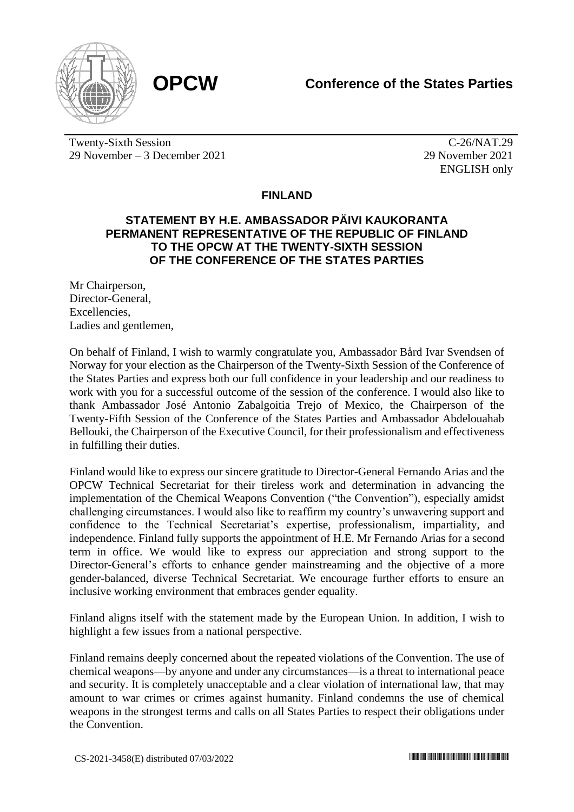

Twenty-Sixth Session 29 November – 3 December 2021

C-26/NAT.29 29 November 2021 ENGLISH only

## **FINLAND**

## **STATEMENT BY H.E. AMBASSADOR PÄIVI KAUKORANTA PERMANENT REPRESENTATIVE OF THE REPUBLIC OF FINLAND TO THE OPCW AT THE TWENTY-SIXTH SESSION OF THE CONFERENCE OF THE STATES PARTIES**

Mr Chairperson, Director-General, Excellencies, Ladies and gentlemen,

On behalf of Finland, I wish to warmly congratulate you, Ambassador Bård Ivar Svendsen of Norway for your election as the Chairperson of the Twenty-Sixth Session of the Conference of the States Parties and express both our full confidence in your leadership and our readiness to work with you for a successful outcome of the session of the conference. I would also like to thank Ambassador José Antonio Zabalgoitia Trejo of Mexico, the Chairperson of the Twenty-Fifth Session of the Conference of the States Parties and Ambassador Abdelouahab Bellouki, the Chairperson of the Executive Council, for their professionalism and effectiveness in fulfilling their duties.

Finland would like to express our sincere gratitude to Director-General Fernando Arias and the OPCW Technical Secretariat for their tireless work and determination in advancing the implementation of the Chemical Weapons Convention ("the Convention"), especially amidst challenging circumstances. I would also like to reaffirm my country's unwavering support and confidence to the Technical Secretariat's expertise, professionalism, impartiality, and independence. Finland fully supports the appointment of H.E. Mr Fernando Arias for a second term in office. We would like to express our appreciation and strong support to the Director-General's efforts to enhance gender mainstreaming and the objective of a more gender-balanced, diverse Technical Secretariat. We encourage further efforts to ensure an inclusive working environment that embraces gender equality.

Finland aligns itself with the statement made by the European Union. In addition, I wish to highlight a few issues from a national perspective.

Finland remains deeply concerned about the repeated violations of the Convention. The use of chemical weapons—by anyone and under any circumstances—is a threat to international peace and security. It is completely unacceptable and a clear violation of international law, that may amount to war crimes or crimes against humanity. Finland condemns the use of chemical weapons in the strongest terms and calls on all States Parties to respect their obligations under the Convention.